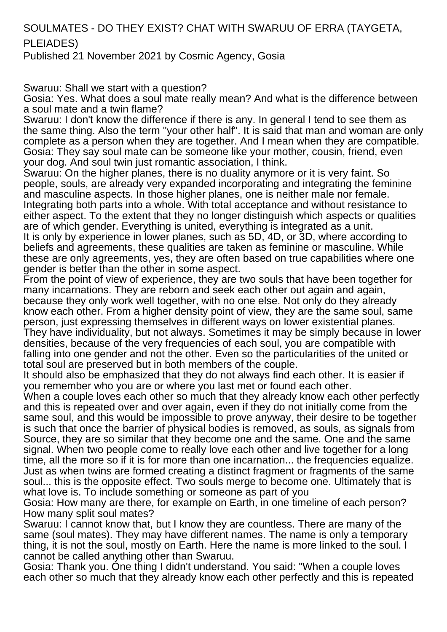SOULMATES - DO THEY EXIST? CHAT WITH SWARUU OF ERRA (TAYGETA, PLEIADES)

Published 21 November 2021 by Cosmic Agency, Gosia

Swaruu: Shall we start with a question?

Gosia: Yes. What does a soul mate really mean? And what is the difference between a soul mate and a twin flame?

Swaruu: I don't know the difference if there is any. In general I tend to see them as the same thing. Also the term "your other half". It is said that man and woman are only complete as a person when they are together. And I mean when they are compatible. Gosia: They say soul mate can be someone like your mother, cousin, friend, even your dog. And soul twin just romantic association, I think.

Swaruu: On the higher planes, there is no duality anymore or it is very faint. So people, souls, are already very expanded incorporating and integrating the feminine and masculine aspects. In those higher planes, one is neither male nor female. Integrating both parts into a whole. With total acceptance and without resistance to either aspect. To the extent that they no longer distinguish which aspects or qualities are of which gender. Everything is united, everything is integrated as a unit. It is only by experience in lower planes, such as 5D, 4D, or 3D, where according to beliefs and agreements, these qualities are taken as feminine or masculine. While these are only agreements, yes, they are often based on true capabilities where one gender is better than the other in some aspect.

From the point of view of experience, they are two souls that have been together for many incarnations. They are reborn and seek each other out again and again, because they only work well together, with no one else. Not only do they already know each other. From a higher density point of view, they are the same soul, same person, just expressing themselves in different ways on lower existential planes. They have individuality, but not always. Sometimes it may be simply because in lower densities, because of the very frequencies of each soul, you are compatible with falling into one gender and not the other. Even so the particularities of the united or total soul are preserved but in both members of the couple.

It should also be emphasized that they do not always find each other. It is easier if you remember who you are or where you last met or found each other.

When a couple loves each other so much that they already know each other perfectly and this is repeated over and over again, even if they do not initially come from the same soul, and this would be impossible to prove anyway, their desire to be together is such that once the barrier of physical bodies is removed, as souls, as signals from Source, they are so similar that they become one and the same. One and the same signal. When two people come to really love each other and live together for a long time, all the more so if it is for more than one incarnation... the frequencies equalize. Just as when twins are formed creating a distinct fragment or fragments of the same soul... this is the opposite effect. Two souls merge to become one. Ultimately that is what love is. To include something or someone as part of you

Gosia: How many are there, for example on Earth, in one timeline of each person? How many split soul mates?

Swaruu: I cannot know that, but I know they are countless. There are many of the same (soul mates). They may have different names. The name is only a temporary thing, it is not the soul, mostly on Earth. Here the name is more linked to the soul. I cannot be called anything other than Swaruu.

Gosia: Thank you. One thing I didn't understand. You said: "When a couple loves each other so much that they already know each other perfectly and this is repeated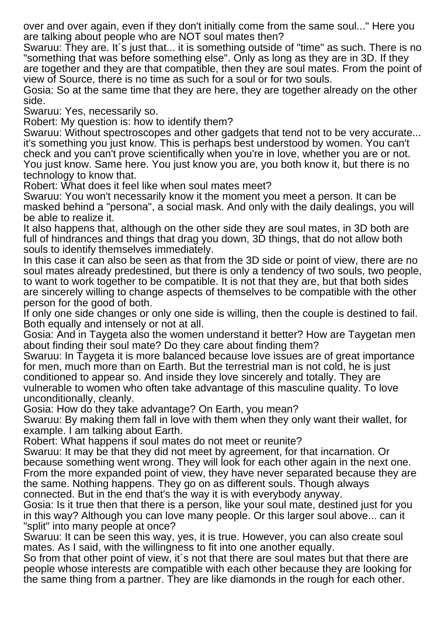over and over again, even if they don't initially come from the same soul..." Here you are talking about people who are NOT soul mates then?

Swaruu: They are. It´s just that... it is something outside of "time" as such. There is no "something that was before something else". Only as long as they are in 3D. If they are together and they are that compatible, then they are soul mates. From the point of view of Source, there is no time as such for a soul or for two souls.

Gosia: So at the same time that they are here, they are together already on the other side.

Swaruu: Yes, necessarily so.

Robert: My question is: how to identify them?

Swaruu: Without spectroscopes and other gadgets that tend not to be very accurate... it's something you just know. This is perhaps best understood by women. You can't check and you can't prove scientifically when you're in love, whether you are or not. You just know. Same here. You just know you are, you both know it, but there is no technology to know that.

Robert: What does it feel like when soul mates meet?

Swaruu: You won't necessarily know it the moment you meet a person. It can be masked behind a "persona", a social mask. And only with the daily dealings, you will be able to realize it.

It also happens that, although on the other side they are soul mates, in 3D both are full of hindrances and things that drag you down, 3D things, that do not allow both souls to identify themselves immediately.

In this case it can also be seen as that from the 3D side or point of view, there are no soul mates already predestined, but there is only a tendency of two souls, two people, to want to work together to be compatible. It is not that they are, but that both sides are sincerely willing to change aspects of themselves to be compatible with the other person for the good of both.

If only one side changes or only one side is willing, then the couple is destined to fail. Both equally and intensely or not at all.

Gosia: And in Taygeta also the women understand it better? How are Taygetan men about finding their soul mate? Do they care about finding them?

Swaruu: In Taygeta it is more balanced because love issues are of great importance for men, much more than on Earth. But the terrestrial man is not cold, he is just conditioned to appear so. And inside they love sincerely and totally. They are vulnerable to women who often take advantage of this masculine quality. To love unconditionally, cleanly.

Gosia: How do they take advantage? On Earth, you mean?

Swaruu: By making them fall in love with them when they only want their wallet, for example. I am talking about Earth.

Robert: What happens if soul mates do not meet or reunite?

Swaruu: It may be that they did not meet by agreement, for that incarnation. Or because something went wrong. They will look for each other again in the next one. From the more expanded point of view, they have never separated because they are the same. Nothing happens. They go on as different souls. Though always connected. But in the end that's the way it is with everybody anyway.

Gosia: Is it true then that there is a person, like your soul mate, destined just for you in this way? Although you can love many people. Or this larger soul above... can it "split" into many people at once?

Swaruu: It can be seen this way, yes, it is true. However, you can also create soul mates. As I said, with the willingness to fit into one another equally.

So from that other point of view, it's not that there are soul mates but that there are people whose interests are compatible with each other because they are looking for the same thing from a partner. They are like diamonds in the rough for each other.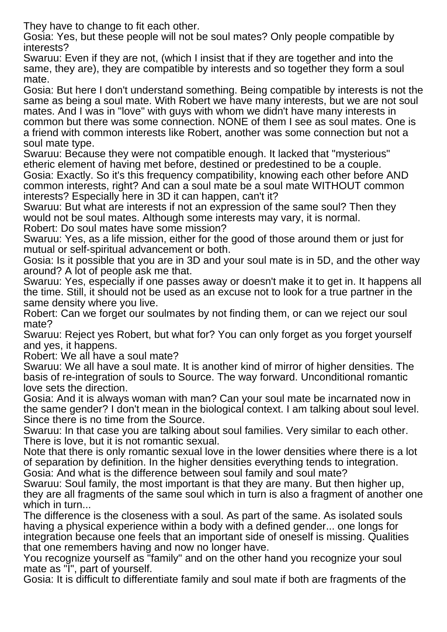They have to change to fit each other.

Gosia: Yes, but these people will not be soul mates? Only people compatible by interests?

Swaruu: Even if they are not, (which I insist that if they are together and into the same, they are), they are compatible by interests and so together they form a soul mate.

Gosia: But here I don't understand something. Being compatible by interests is not the same as being a soul mate. With Robert we have many interests, but we are not soul mates. And I was in "love" with guys with whom we didn't have many interests in common but there was some connection. NONE of them I see as soul mates. One is a friend with common interests like Robert, another was some connection but not a soul mate type.

Swaruu: Because they were not compatible enough. It lacked that "mysterious" etheric element of having met before, destined or predestined to be a couple. Gosia: Exactly. So it's this frequency compatibility, knowing each other before AND common interests, right? And can a soul mate be a soul mate WITHOUT common interests? Especially here in 3D it can happen, can't it?

Swaruu: But what are interests if not an expression of the same soul? Then they would not be soul mates. Although some interests may vary, it is normal.

Robert: Do soul mates have some mission?

Swaruu: Yes, as a life mission, either for the good of those around them or just for mutual or self-spiritual advancement or both.

Gosia: Is it possible that you are in 3D and your soul mate is in 5D, and the other way around? A lot of people ask me that.

Swaruu: Yes, especially if one passes away or doesn't make it to get in. It happens all the time. Still, it should not be used as an excuse not to look for a true partner in the same density where you live.

Robert: Can we forget our soulmates by not finding them, or can we reject our soul mate?

Swaruu: Reject yes Robert, but what for? You can only forget as you forget yourself and yes, it happens.

Robert: We all have a soul mate?

Swaruu: We all have a soul mate. It is another kind of mirror of higher densities. The basis of re-integration of souls to Source. The way forward. Unconditional romantic love sets the direction.

Gosia: And it is always woman with man? Can your soul mate be incarnated now in the same gender? I don't mean in the biological context. I am talking about soul level. Since there is no time from the Source.

Swaruu: In that case you are talking about soul families. Very similar to each other. There is love, but it is not romantic sexual.

Note that there is only romantic sexual love in the lower densities where there is a lot of separation by definition. In the higher densities everything tends to integration. Gosia: And what is the difference between soul family and soul mate?

Swaruu: Soul family, the most important is that they are many. But then higher up, they are all fragments of the same soul which in turn is also a fragment of another one which in turn...

The difference is the closeness with a soul. As part of the same. As isolated souls having a physical experience within a body with a defined gender... one longs for integration because one feels that an important side of oneself is missing. Qualities that one remembers having and now no longer have.

You recognize yourself as "family" and on the other hand you recognize your soul mate as "I", part of yourself.

Gosia: It is difficult to differentiate family and soul mate if both are fragments of the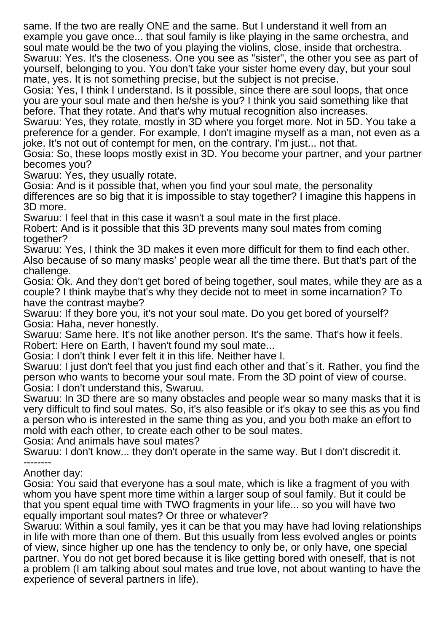same. If the two are really ONE and the same. But I understand it well from an example you gave once... that soul family is like playing in the same orchestra, and soul mate would be the two of you playing the violins, close, inside that orchestra. Swaruu: Yes. It's the closeness. One you see as "sister", the other you see as part of yourself, belonging to you. You don't take your sister home every day, but your soul mate, yes. It is not something precise, but the subject is not precise.

Gosia: Yes, I think I understand. Is it possible, since there are soul loops, that once you are your soul mate and then he/she is you? I think you said something like that before. That they rotate. And that's why mutual recognition also increases.

Swaruu: Yes, they rotate, mostly in 3D where you forget more. Not in 5D. You take a preference for a gender. For example, I don't imagine myself as a man, not even as a joke. It's not out of contempt for men, on the contrary. I'm just... not that.

Gosia: So, these loops mostly exist in 3D. You become your partner, and your partner becomes you?

Swaruu: Yes, they usually rotate.

Gosia: And is it possible that, when you find your soul mate, the personality differences are so big that it is impossible to stay together? I imagine this happens in 3D more.

Swaruu: I feel that in this case it wasn't a soul mate in the first place.

Robert: And is it possible that this 3D prevents many soul mates from coming together?

Swaruu: Yes, I think the 3D makes it even more difficult for them to find each other. Also because of so many masks' people wear all the time there. But that's part of the challenge.

Gosia: Ok. And they don't get bored of being together, soul mates, while they are as a couple? I think maybe that's why they decide not to meet in some incarnation? To have the contrast maybe?

Swaruu: If they bore you, it's not your soul mate. Do you get bored of yourself? Gosia: Haha, never honestly.

Swaruu: Same here. It's not like another person. It's the same. That's how it feels. Robert: Here on Earth, I haven't found my soul mate...

Gosia: I don't think I ever felt it in this life. Neither have I.

Swaruu: I just don't feel that you just find each other and that´s it. Rather, you find the person who wants to become your soul mate. From the 3D point of view of course. Gosia: I don't understand this, Swaruu.

Swaruu: In 3D there are so many obstacles and people wear so many masks that it is very difficult to find soul mates. So, it's also feasible or it's okay to see this as you find a person who is interested in the same thing as you, and you both make an effort to mold with each other, to create each other to be soul mates.

Gosia: And animals have soul mates?

Swaruu: I don't know... they don't operate in the same way. But I don't discredit it. --------

Another day:

Gosia: You said that everyone has a soul mate, which is like a fragment of you with whom you have spent more time within a larger soup of soul family. But it could be that you spent equal time with TWO fragments in your life... so you will have two equally important soul mates? Or three or whatever?

Swaruu: Within a soul family, yes it can be that you may have had loving relationships in life with more than one of them. But this usually from less evolved angles or points of view, since higher up one has the tendency to only be, or only have, one special partner. You do not get bored because it is like getting bored with oneself, that is not a problem (I am talking about soul mates and true love, not about wanting to have the experience of several partners in life).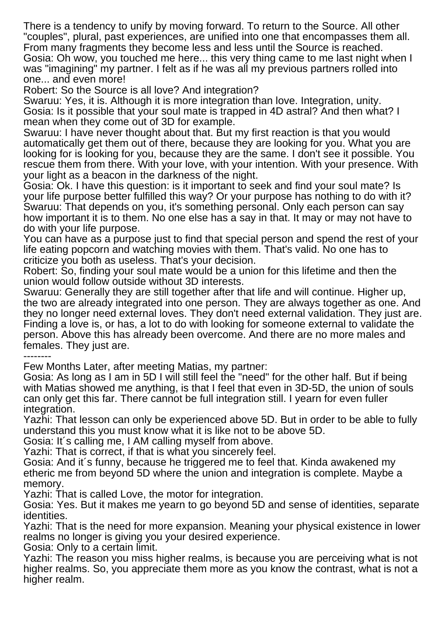There is a tendency to unify by moving forward. To return to the Source. All other "couples", plural, past experiences, are unified into one that encompasses them all. From many fragments they become less and less until the Source is reached. Gosia: Oh wow, you touched me here... this very thing came to me last night when I was "imagining" my partner. I felt as if he was all my previous partners rolled into one... and even more!

Robert: So the Source is all love? And integration?

Swaruu: Yes, it is. Although it is more integration than love. Integration, unity. Gosia: Is it possible that your soul mate is trapped in 4D astral? And then what? I mean when they come out of 3D for example.

Swaruu: I have never thought about that. But my first reaction is that you would automatically get them out of there, because they are looking for you. What you are looking for is looking for you, because they are the same. I don't see it possible. You rescue them from there. With your love, with your intention. With your presence. With your light as a beacon in the darkness of the night.

Gosia: Ok. I have this question: is it important to seek and find your soul mate? Is your life purpose better fulfilled this way? Or your purpose has nothing to do with it? Swaruu: That depends on you, it's something personal. Only each person can say how important it is to them. No one else has a say in that. It may or may not have to do with your life purpose.

You can have as a purpose just to find that special person and spend the rest of your life eating popcorn and watching movies with them. That's valid. No one has to criticize you both as useless. That's your decision.

Robert: So, finding your soul mate would be a union for this lifetime and then the union would follow outside without 3D interests.

Swaruu: Generally they are still together after that life and will continue. Higher up, the two are already integrated into one person. They are always together as one. And they no longer need external loves. They don't need external validation. They just are. Finding a love is, or has, a lot to do with looking for someone external to validate the person. Above this has already been overcome. And there are no more males and females. They just are.

--------

Few Months Later, after meeting Matias, my partner:

Gosia: As long as I am in 5D I will still feel the "need" for the other half. But if being with Matias showed me anything, is that I feel that even in 3D-5D, the union of souls can only get this far. There cannot be full integration still. I yearn for even fuller integration.

Yazhi: That lesson can only be experienced above 5D. But in order to be able to fully understand this you must know what it is like not to be above 5D.

Gosia: It´s calling me, I AM calling myself from above.

Yazhi: That is correct, if that is what you sincerely feel.

Gosia: And it´s funny, because he triggered me to feel that. Kinda awakened my etheric me from beyond 5D where the union and integration is complete. Maybe a memory.

Yazhi: That is called Love, the motor for integration.

Gosia: Yes. But it makes me yearn to go beyond 5D and sense of identities, separate identities.

Yazhi: That is the need for more expansion. Meaning your physical existence in lower realms no longer is giving you your desired experience.

Gosia: Only to a certain limit.

Yazhi: The reason you miss higher realms, is because you are perceiving what is not higher realms. So, you appreciate them more as you know the contrast, what is not a higher realm.